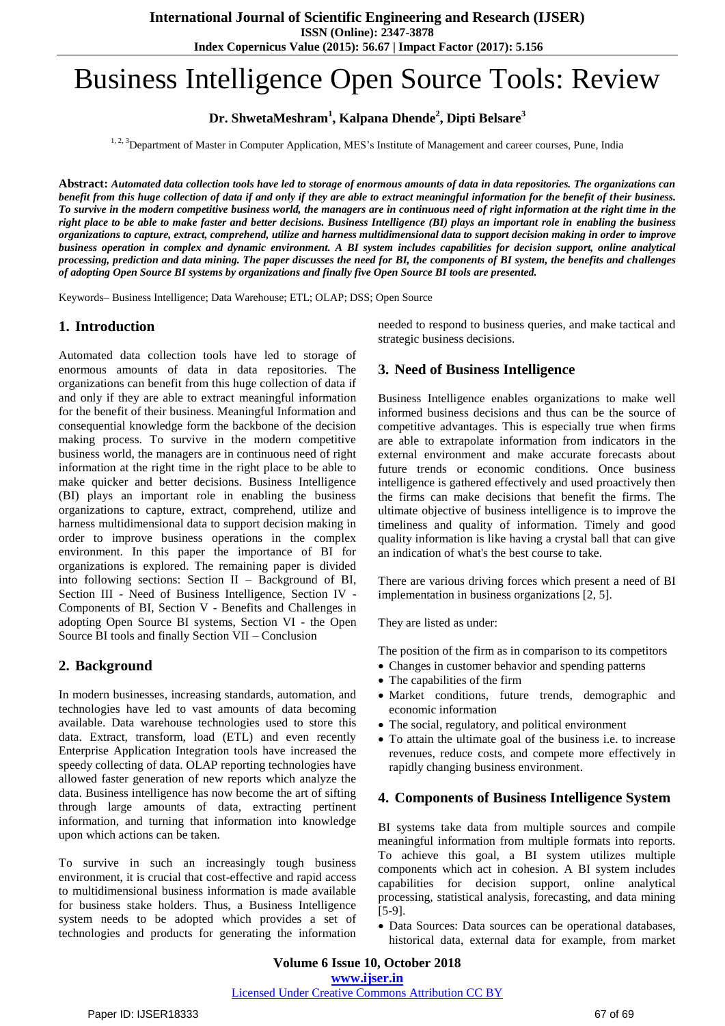**Index Copernicus Value (2015): 56.67 | Impact Factor (2017): 5.156**

# Business Intelligence Open Source Tools: Review

**Dr. ShwetaMeshram<sup>1</sup> , Kalpana Dhende<sup>2</sup> , Dipti Belsare<sup>3</sup>**

<sup>1, 2, 3</sup>Department of Master in Computer Application, MES's Institute of Management and career courses, Pune, India

**Abstract:** *Automated data collection tools have led to storage of enormous amounts of data in data repositories. The organizations can benefit from this huge collection of data if and only if they are able to extract meaningful information for the benefit of their business. To survive in the modern competitive business world, the managers are in continuous need of right information at the right time in the right place to be able to make faster and better decisions. Business Intelligence (BI) plays an important role in enabling the business organizations to capture, extract, comprehend, utilize and harness multidimensional data to support decision making in order to improve business operation in complex and dynamic environment. A BI system includes capabilities for decision support, online analytical processing, prediction and data mining. The paper discusses the need for BI, the components of BI system, the benefits and challenges of adopting Open Source BI systems by organizations and finally five Open Source BI tools are presented.*

Keywords– Business Intelligence; Data Warehouse; ETL; OLAP; DSS; Open Source

### **1. Introduction**

Automated data collection tools have led to storage of enormous amounts of data in data repositories. The organizations can benefit from this huge collection of data if and only if they are able to extract meaningful information for the benefit of their business. Meaningful Information and consequential knowledge form the backbone of the decision making process. To survive in the modern competitive business world, the managers are in continuous need of right information at the right time in the right place to be able to make quicker and better decisions. Business Intelligence (BI) plays an important role in enabling the business organizations to capture, extract, comprehend, utilize and harness multidimensional data to support decision making in order to improve business operations in the complex environment. In this paper the importance of BI for organizations is explored. The remaining paper is divided into following sections: Section II – Background of BI, Section III - Need of Business Intelligence, Section IV - Components of BI, Section V - Benefits and Challenges in adopting Open Source BI systems, Section VI - the Open Source BI tools and finally Section VII – Conclusion

## **2. Background**

In modern businesses, increasing standards, automation, and technologies have led to vast amounts of data becoming available. Data warehouse technologies used to store this data. Extract, transform, load (ETL) and even recently Enterprise Application Integration tools have increased the speedy collecting of data. OLAP reporting technologies have allowed faster generation of new reports which analyze the data. Business intelligence has now become the art of sifting through large amounts of data, extracting pertinent information, and turning that information into knowledge upon which actions can be taken.

To survive in such an increasingly tough business environment, it is crucial that cost-effective and rapid access to multidimensional business information is made available for business stake holders. Thus, a Business Intelligence system needs to be adopted which provides a set of technologies and products for generating the information

needed to respond to business queries, and make tactical and strategic business decisions.

### **3. Need of Business Intelligence**

Business Intelligence enables organizations to make well informed business decisions and thus can be the source of competitive advantages. This is especially true when firms are able to extrapolate information from indicators in the external environment and make accurate forecasts about future trends or economic conditions. Once business intelligence is gathered effectively and used proactively then the firms can make decisions that benefit the firms. The ultimate objective of business intelligence is to improve the timeliness and quality of information. Timely and good quality information is like having a crystal ball that can give an indication of what's the best course to take.

There are various driving forces which present a need of BI implementation in business organizations [2, 5].

They are listed as under:

The position of the firm as in comparison to its competitors

- Changes in customer behavior and spending patterns
- The capabilities of the firm
- Market conditions, future trends, demographic and economic information
- The social, regulatory, and political environment
- To attain the ultimate goal of the business i.e. to increase revenues, reduce costs, and compete more effectively in rapidly changing business environment.

#### **4. Components of Business Intelligence System**

BI systems take data from multiple sources and compile meaningful information from multiple formats into reports. To achieve this goal, a BI system utilizes multiple components which act in cohesion. A BI system includes capabilities for decision support, online analytical processing, statistical analysis, forecasting, and data mining [5-9].

 Data Sources: Data sources can be operational databases, historical data, external data for example, from market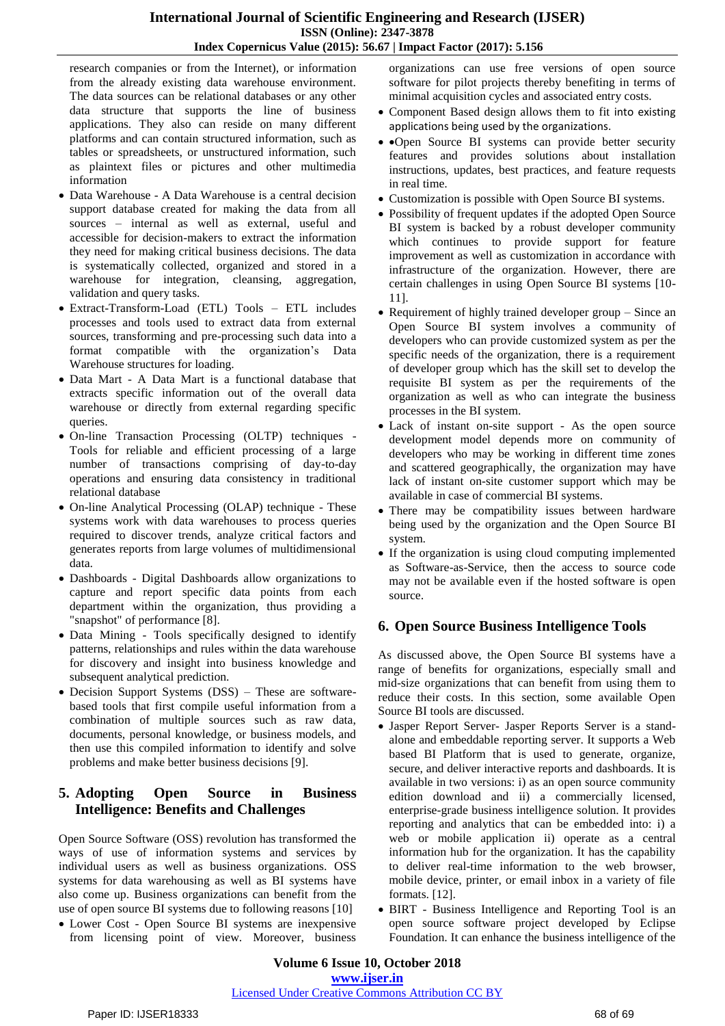research companies or from the Internet), or information from the already existing data warehouse environment. The data sources can be relational databases or any other data structure that supports the line of business applications. They also can reside on many different platforms and can contain structured information, such as tables or spreadsheets, or unstructured information, such as plaintext files or pictures and other multimedia information

- Data Warehouse A Data Warehouse is a central decision support database created for making the data from all sources – internal as well as external, useful and accessible for decision-makers to extract the information they need for making critical business decisions. The data is systematically collected, organized and stored in a warehouse for integration, cleansing, aggregation, validation and query tasks.
- Extract-Transform-Load (ETL) Tools ETL includes processes and tools used to extract data from external sources, transforming and pre-processing such data into a format compatible with the organization's Data Warehouse structures for loading.
- Data Mart A Data Mart is a functional database that extracts specific information out of the overall data warehouse or directly from external regarding specific queries.
- On-line Transaction Processing (OLTP) techniques Tools for reliable and efficient processing of a large number of transactions comprising of day-to-day operations and ensuring data consistency in traditional relational database
- On-line Analytical Processing (OLAP) technique These systems work with data warehouses to process queries required to discover trends, analyze critical factors and generates reports from large volumes of multidimensional data.
- Dashboards Digital Dashboards allow organizations to capture and report specific data points from each department within the organization, thus providing a "snapshot" of performance [8].
- Data Mining Tools specifically designed to identify patterns, relationships and rules within the data warehouse for discovery and insight into business knowledge and subsequent analytical prediction.
- Decision Support Systems (DSS) These are softwarebased tools that first compile useful information from a combination of multiple sources such as raw data, documents, personal knowledge, or business models, and then use this compiled information to identify and solve problems and make better business decisions [9].

# **5. Adopting Open Source in Business Intelligence: Benefits and Challenges**

Open Source Software (OSS) revolution has transformed the ways of use of information systems and services by individual users as well as business organizations. OSS systems for data warehousing as well as BI systems have also come up. Business organizations can benefit from the use of open source BI systems due to following reasons [10]

 Lower Cost - Open Source BI systems are inexpensive from licensing point of view. Moreover, business organizations can use free versions of open source software for pilot projects thereby benefiting in terms of minimal acquisition cycles and associated entry costs.

- Component Based design allows them to fit into existing applications being used by the organizations.
- Open Source BI systems can provide better security features and provides solutions about installation instructions, updates, best practices, and feature requests in real time.
- Customization is possible with Open Source BI systems.
- Possibility of frequent updates if the adopted Open Source BI system is backed by a robust developer community which continues to provide support for feature improvement as well as customization in accordance with infrastructure of the organization. However, there are certain challenges in using Open Source BI systems [10- 11].
- Requirement of highly trained developer group Since an Open Source BI system involves a community of developers who can provide customized system as per the specific needs of the organization, there is a requirement of developer group which has the skill set to develop the requisite BI system as per the requirements of the organization as well as who can integrate the business processes in the BI system.
- Lack of instant on-site support As the open source development model depends more on community of developers who may be working in different time zones and scattered geographically, the organization may have lack of instant on-site customer support which may be available in case of commercial BI systems.
- There may be compatibility issues between hardware being used by the organization and the Open Source BI system.
- If the organization is using cloud computing implemented as Software-as-Service, then the access to source code may not be available even if the hosted software is open source.

# **6. Open Source Business Intelligence Tools**

As discussed above, the Open Source BI systems have a range of benefits for organizations, especially small and mid-size organizations that can benefit from using them to reduce their costs. In this section, some available Open Source BI tools are discussed.

- Jasper Report Server- Jasper Reports Server is a standalone and embeddable reporting server. It supports a Web based BI Platform that is used to generate, organize, secure, and deliver interactive reports and dashboards. It is available in two versions: i) as an open source community edition download and ii) a commercially licensed, enterprise-grade business intelligence solution. It provides reporting and analytics that can be embedded into: i) a web or mobile application ii) operate as a central information hub for the organization. It has the capability to deliver real-time information to the web browser, mobile device, printer, or email inbox in a variety of file formats. [12].
- BIRT Business Intelligence and Reporting Tool is an open source software project developed by Eclipse Foundation. It can enhance the business intelligence of the